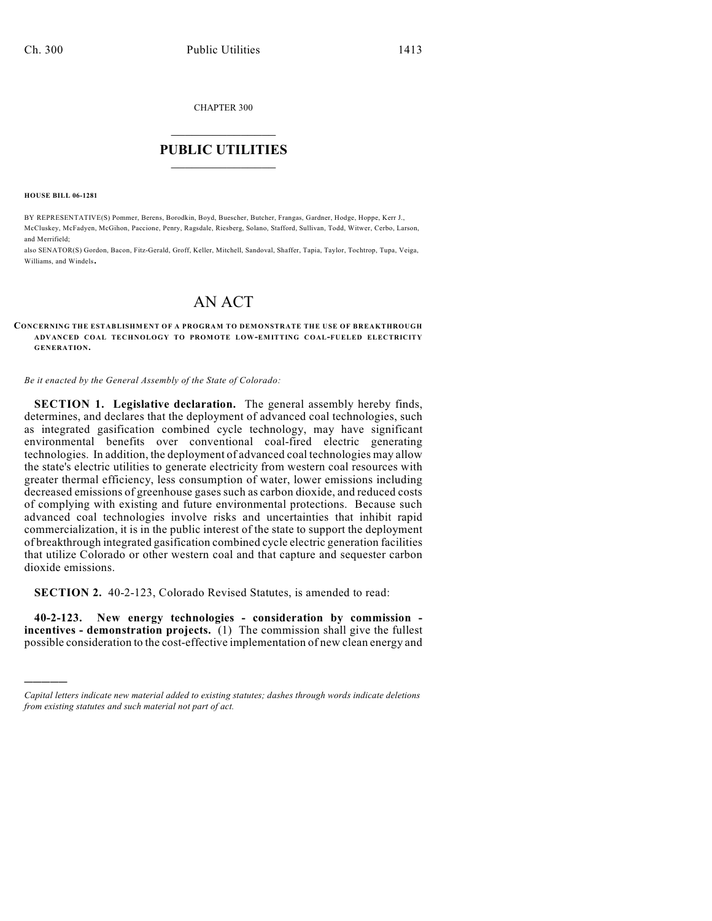CHAPTER 300

# $\overline{\phantom{a}}$  . The set of the set of the set of the set of the set of the set of the set of the set of the set of the set of the set of the set of the set of the set of the set of the set of the set of the set of the set o **PUBLIC UTILITIES** \_\_\_\_\_\_\_\_\_\_\_\_\_\_\_

**HOUSE BILL 06-1281**

)))))

BY REPRESENTATIVE(S) Pommer, Berens, Borodkin, Boyd, Buescher, Butcher, Frangas, Gardner, Hodge, Hoppe, Kerr J., McCluskey, McFadyen, McGihon, Paccione, Penry, Ragsdale, Riesberg, Solano, Stafford, Sullivan, Todd, Witwer, Cerbo, Larson, and Merrifield;

also SENATOR(S) Gordon, Bacon, Fitz-Gerald, Groff, Keller, Mitchell, Sandoval, Shaffer, Tapia, Taylor, Tochtrop, Tupa, Veiga, Williams, and Windels.

# AN ACT

#### **CONCERNING THE ESTABLISHMENT OF A PROGRAM TO DEMONSTRATE THE USE OF BREAKTHROUGH ADVANCED COAL TECHNOLOGY TO PROMOTE LOW-EMITTING COAL-FUELED ELECTRICITY GENERATION.**

*Be it enacted by the General Assembly of the State of Colorado:*

**SECTION 1. Legislative declaration.** The general assembly hereby finds, determines, and declares that the deployment of advanced coal technologies, such as integrated gasification combined cycle technology, may have significant environmental benefits over conventional coal-fired electric generating technologies. In addition, the deployment of advanced coal technologies may allow the state's electric utilities to generate electricity from western coal resources with greater thermal efficiency, less consumption of water, lower emissions including decreased emissions of greenhouse gases such as carbon dioxide, and reduced costs of complying with existing and future environmental protections. Because such advanced coal technologies involve risks and uncertainties that inhibit rapid commercialization, it is in the public interest of the state to support the deployment of breakthrough integrated gasification combined cycle electric generation facilities that utilize Colorado or other western coal and that capture and sequester carbon dioxide emissions.

**SECTION 2.** 40-2-123, Colorado Revised Statutes, is amended to read:

**40-2-123. New energy technologies - consideration by commission incentives - demonstration projects.** (1) The commission shall give the fullest possible consideration to the cost-effective implementation of new clean energy and

*Capital letters indicate new material added to existing statutes; dashes through words indicate deletions from existing statutes and such material not part of act.*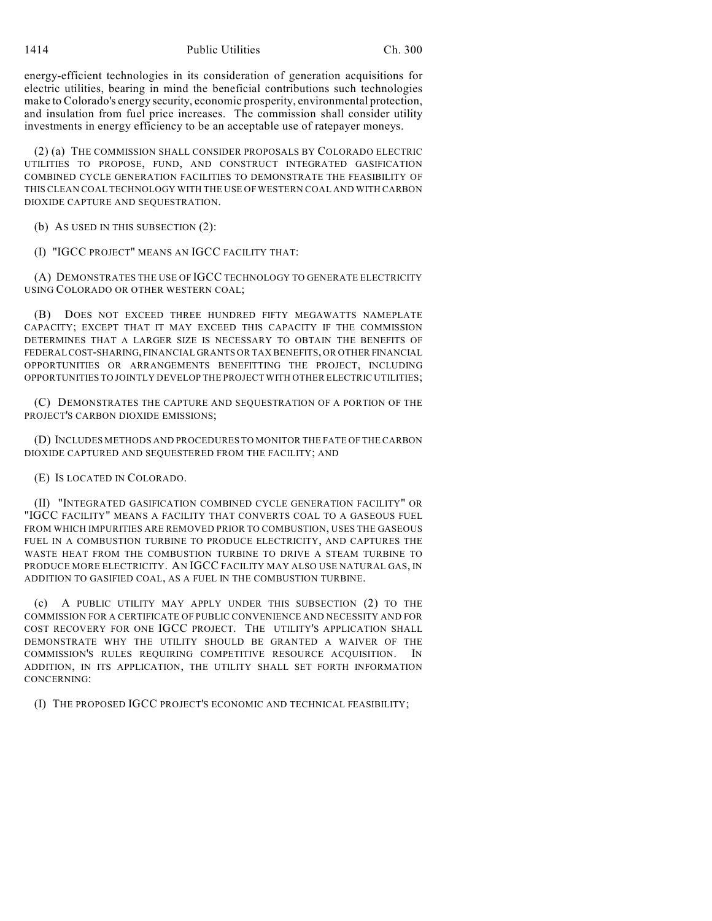energy-efficient technologies in its consideration of generation acquisitions for electric utilities, bearing in mind the beneficial contributions such technologies make to Colorado's energy security, economic prosperity, environmental protection, and insulation from fuel price increases. The commission shall consider utility investments in energy efficiency to be an acceptable use of ratepayer moneys.

(2) (a) THE COMMISSION SHALL CONSIDER PROPOSALS BY COLORADO ELECTRIC UTILITIES TO PROPOSE, FUND, AND CONSTRUCT INTEGRATED GASIFICATION COMBINED CYCLE GENERATION FACILITIES TO DEMONSTRATE THE FEASIBILITY OF THIS CLEAN COAL TECHNOLOGY WITH THE USE OF WESTERN COAL AND WITH CARBON DIOXIDE CAPTURE AND SEQUESTRATION.

(b) AS USED IN THIS SUBSECTION (2):

(I) "IGCC PROJECT" MEANS AN IGCC FACILITY THAT:

(A) DEMONSTRATES THE USE OF IGCC TECHNOLOGY TO GENERATE ELECTRICITY USING COLORADO OR OTHER WESTERN COAL;

(B) DOES NOT EXCEED THREE HUNDRED FIFTY MEGAWATTS NAMEPLATE CAPACITY; EXCEPT THAT IT MAY EXCEED THIS CAPACITY IF THE COMMISSION DETERMINES THAT A LARGER SIZE IS NECESSARY TO OBTAIN THE BENEFITS OF FEDERAL COST-SHARING, FINANCIAL GRANTS OR TAX BENEFITS, OR OTHER FINANCIAL OPPORTUNITIES OR ARRANGEMENTS BENEFITTING THE PROJECT, INCLUDING OPPORTUNITIES TO JOINTLY DEVELOP THE PROJECT WITH OTHER ELECTRIC UTILITIES;

(C) DEMONSTRATES THE CAPTURE AND SEQUESTRATION OF A PORTION OF THE PROJECT'S CARBON DIOXIDE EMISSIONS;

(D) INCLUDES METHODS AND PROCEDURES TO MONITOR THE FATE OF THE CARBON DIOXIDE CAPTURED AND SEQUESTERED FROM THE FACILITY; AND

(E) IS LOCATED IN COLORADO.

(II) "INTEGRATED GASIFICATION COMBINED CYCLE GENERATION FACILITY" OR "IGCC FACILITY" MEANS A FACILITY THAT CONVERTS COAL TO A GASEOUS FUEL FROM WHICH IMPURITIES ARE REMOVED PRIOR TO COMBUSTION, USES THE GASEOUS FUEL IN A COMBUSTION TURBINE TO PRODUCE ELECTRICITY, AND CAPTURES THE WASTE HEAT FROM THE COMBUSTION TURBINE TO DRIVE A STEAM TURBINE TO PRODUCE MORE ELECTRICITY. AN IGCC FACILITY MAY ALSO USE NATURAL GAS, IN ADDITION TO GASIFIED COAL, AS A FUEL IN THE COMBUSTION TURBINE.

(c) A PUBLIC UTILITY MAY APPLY UNDER THIS SUBSECTION (2) TO THE COMMISSION FOR A CERTIFICATE OF PUBLIC CONVENIENCE AND NECESSITY AND FOR COST RECOVERY FOR ONE IGCC PROJECT. THE UTILITY'S APPLICATION SHALL DEMONSTRATE WHY THE UTILITY SHOULD BE GRANTED A WAIVER OF THE COMMISSION'S RULES REQUIRING COMPETITIVE RESOURCE ACQUISITION. IN ADDITION, IN ITS APPLICATION, THE UTILITY SHALL SET FORTH INFORMATION CONCERNING:

(I) THE PROPOSED IGCC PROJECT'S ECONOMIC AND TECHNICAL FEASIBILITY;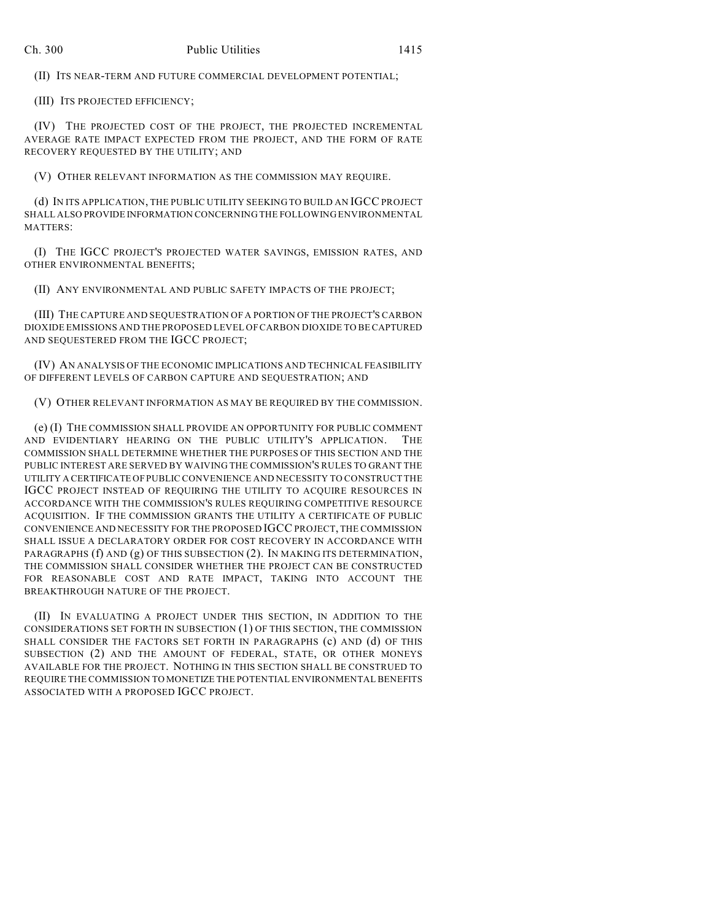(II) ITS NEAR-TERM AND FUTURE COMMERCIAL DEVELOPMENT POTENTIAL;

(III) ITS PROJECTED EFFICIENCY;

(IV) THE PROJECTED COST OF THE PROJECT, THE PROJECTED INCREMENTAL AVERAGE RATE IMPACT EXPECTED FROM THE PROJECT, AND THE FORM OF RATE RECOVERY REQUESTED BY THE UTILITY; AND

(V) OTHER RELEVANT INFORMATION AS THE COMMISSION MAY REQUIRE.

(d) IN ITS APPLICATION, THE PUBLIC UTILITY SEEKING TO BUILD AN IGCC PROJECT SHALL ALSO PROVIDE INFORMATION CONCERNING THE FOLLOWING ENVIRONMENTAL MATTERS:

(I) THE IGCC PROJECT'S PROJECTED WATER SAVINGS, EMISSION RATES, AND OTHER ENVIRONMENTAL BENEFITS;

(II) ANY ENVIRONMENTAL AND PUBLIC SAFETY IMPACTS OF THE PROJECT;

(III) THE CAPTURE AND SEQUESTRATION OF A PORTION OF THE PROJECT'S CARBON DIOXIDE EMISSIONS AND THE PROPOSED LEVEL OF CARBON DIOXIDE TO BE CAPTURED AND SEQUESTERED FROM THE IGCC PROJECT;

(IV) AN ANALYSIS OF THE ECONOMIC IMPLICATIONS AND TECHNICAL FEASIBILITY OF DIFFERENT LEVELS OF CARBON CAPTURE AND SEQUESTRATION; AND

(V) OTHER RELEVANT INFORMATION AS MAY BE REQUIRED BY THE COMMISSION.

(e) (I) THE COMMISSION SHALL PROVIDE AN OPPORTUNITY FOR PUBLIC COMMENT AND EVIDENTIARY HEARING ON THE PUBLIC UTILITY'S APPLICATION. THE COMMISSION SHALL DETERMINE WHETHER THE PURPOSES OF THIS SECTION AND THE PUBLIC INTEREST ARE SERVED BY WAIVING THE COMMISSION'S RULES TO GRANT THE UTILITY A CERTIFICATE OF PUBLIC CONVENIENCE AND NECESSITY TO CONSTRUCT THE IGCC PROJECT INSTEAD OF REQUIRING THE UTILITY TO ACQUIRE RESOURCES IN ACCORDANCE WITH THE COMMISSION'S RULES REQUIRING COMPETITIVE RESOURCE ACQUISITION. IF THE COMMISSION GRANTS THE UTILITY A CERTIFICATE OF PUBLIC CONVENIENCE AND NECESSITY FOR THE PROPOSED IGCC PROJECT, THE COMMISSION SHALL ISSUE A DECLARATORY ORDER FOR COST RECOVERY IN ACCORDANCE WITH PARAGRAPHS (f) AND (g) OF THIS SUBSECTION (2). IN MAKING ITS DETERMINATION, THE COMMISSION SHALL CONSIDER WHETHER THE PROJECT CAN BE CONSTRUCTED FOR REASONABLE COST AND RATE IMPACT, TAKING INTO ACCOUNT THE BREAKTHROUGH NATURE OF THE PROJECT.

(II) IN EVALUATING A PROJECT UNDER THIS SECTION, IN ADDITION TO THE CONSIDERATIONS SET FORTH IN SUBSECTION (1) OF THIS SECTION, THE COMMISSION SHALL CONSIDER THE FACTORS SET FORTH IN PARAGRAPHS (c) AND (d) OF THIS SUBSECTION (2) AND THE AMOUNT OF FEDERAL, STATE, OR OTHER MONEYS AVAILABLE FOR THE PROJECT. NOTHING IN THIS SECTION SHALL BE CONSTRUED TO REQUIRE THE COMMISSION TO MONETIZE THE POTENTIAL ENVIRONMENTAL BENEFITS ASSOCIATED WITH A PROPOSED IGCC PROJECT.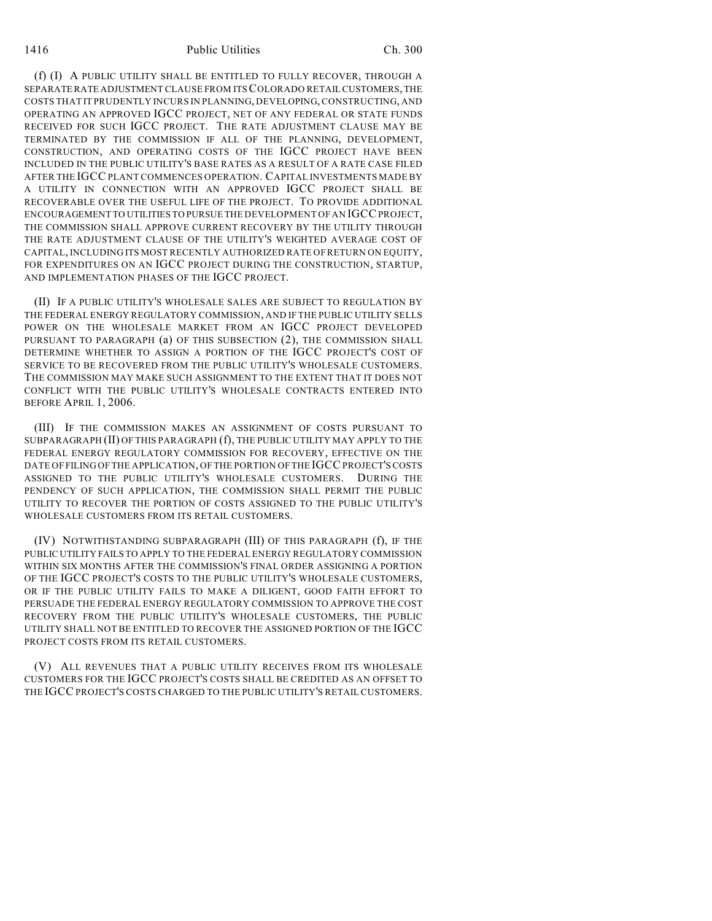(f) (I) A PUBLIC UTILITY SHALL BE ENTITLED TO FULLY RECOVER, THROUGH A SEPARATE RATE ADJUSTMENT CLAUSE FROM ITS COLORADO RETAIL CUSTOMERS, THE COSTS THAT IT PRUDENTLY INCURS IN PLANNING, DEVELOPING, CONSTRUCTING, AND OPERATING AN APPROVED IGCC PROJECT, NET OF ANY FEDERAL OR STATE FUNDS RECEIVED FOR SUCH IGCC PROJECT. THE RATE ADJUSTMENT CLAUSE MAY BE TERMINATED BY THE COMMISSION IF ALL OF THE PLANNING, DEVELOPMENT, CONSTRUCTION, AND OPERATING COSTS OF THE IGCC PROJECT HAVE BEEN INCLUDED IN THE PUBLIC UTILITY'S BASE RATES AS A RESULT OF A RATE CASE FILED AFTER THE IGCC PLANT COMMENCES OPERATION. CAPITAL INVESTMENTS MADE BY A UTILITY IN CONNECTION WITH AN APPROVED IGCC PROJECT SHALL BE RECOVERABLE OVER THE USEFUL LIFE OF THE PROJECT. TO PROVIDE ADDITIONAL ENCOURAGEMENT TO UTILITIES TO PURSUE THE DEVELOPMENT OF AN IGCC PROJECT, THE COMMISSION SHALL APPROVE CURRENT RECOVERY BY THE UTILITY THROUGH THE RATE ADJUSTMENT CLAUSE OF THE UTILITY'S WEIGHTED AVERAGE COST OF CAPITAL, INCLUDING ITS MOST RECENTLY AUTHORIZED RATE OF RETURN ON EQUITY, FOR EXPENDITURES ON AN IGCC PROJECT DURING THE CONSTRUCTION, STARTUP, AND IMPLEMENTATION PHASES OF THE IGCC PROJECT.

(II) IF A PUBLIC UTILITY'S WHOLESALE SALES ARE SUBJECT TO REGULATION BY THE FEDERAL ENERGY REGULATORY COMMISSION, AND IF THE PUBLIC UTILITY SELLS POWER ON THE WHOLESALE MARKET FROM AN IGCC PROJECT DEVELOPED PURSUANT TO PARAGRAPH (a) OF THIS SUBSECTION (2), THE COMMISSION SHALL DETERMINE WHETHER TO ASSIGN A PORTION OF THE IGCC PROJECT'S COST OF SERVICE TO BE RECOVERED FROM THE PUBLIC UTILITY'S WHOLESALE CUSTOMERS. THE COMMISSION MAY MAKE SUCH ASSIGNMENT TO THE EXTENT THAT IT DOES NOT CONFLICT WITH THE PUBLIC UTILITY'S WHOLESALE CONTRACTS ENTERED INTO BEFORE APRIL 1, 2006.

(III) IF THE COMMISSION MAKES AN ASSIGNMENT OF COSTS PURSUANT TO SUBPARAGRAPH (II) OF THIS PARAGRAPH (f), THE PUBLIC UTILITY MAY APPLY TO THE FEDERAL ENERGY REGULATORY COMMISSION FOR RECOVERY, EFFECTIVE ON THE DATE OF FILING OF THE APPLICATION, OF THE PORTION OF THE IGCC PROJECT'S COSTS ASSIGNED TO THE PUBLIC UTILITY'S WHOLESALE CUSTOMERS. DURING THE PENDENCY OF SUCH APPLICATION, THE COMMISSION SHALL PERMIT THE PUBLIC UTILITY TO RECOVER THE PORTION OF COSTS ASSIGNED TO THE PUBLIC UTILITY'S WHOLESALE CUSTOMERS FROM ITS RETAIL CUSTOMERS.

(IV) NOTWITHSTANDING SUBPARAGRAPH (III) OF THIS PARAGRAPH (f), IF THE PUBLIC UTILITY FAILS TO APPLY TO THE FEDERAL ENERGY REGULATORY COMMISSION WITHIN SIX MONTHS AFTER THE COMMISSION'S FINAL ORDER ASSIGNING A PORTION OF THE IGCC PROJECT'S COSTS TO THE PUBLIC UTILITY'S WHOLESALE CUSTOMERS, OR IF THE PUBLIC UTILITY FAILS TO MAKE A DILIGENT, GOOD FAITH EFFORT TO PERSUADE THE FEDERAL ENERGY REGULATORY COMMISSION TO APPROVE THE COST RECOVERY FROM THE PUBLIC UTILITY'S WHOLESALE CUSTOMERS, THE PUBLIC UTILITY SHALL NOT BE ENTITLED TO RECOVER THE ASSIGNED PORTION OF THE IGCC PROJECT COSTS FROM ITS RETAIL CUSTOMERS.

(V) ALL REVENUES THAT A PUBLIC UTILITY RECEIVES FROM ITS WHOLESALE CUSTOMERS FOR THE IGCC PROJECT'S COSTS SHALL BE CREDITED AS AN OFFSET TO THE IGCC PROJECT'S COSTS CHARGED TO THE PUBLIC UTILITY'S RETAIL CUSTOMERS.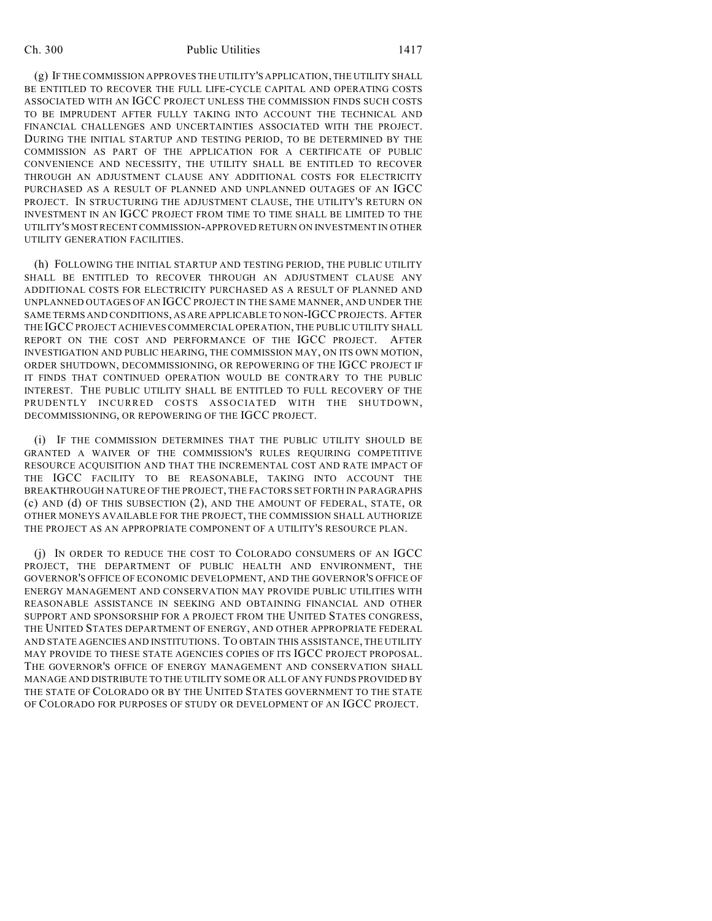## Ch. 300 Public Utilities 1417

(g) IF THE COMMISSION APPROVES THE UTILITY'S APPLICATION, THE UTILITY SHALL BE ENTITLED TO RECOVER THE FULL LIFE-CYCLE CAPITAL AND OPERATING COSTS ASSOCIATED WITH AN IGCC PROJECT UNLESS THE COMMISSION FINDS SUCH COSTS TO BE IMPRUDENT AFTER FULLY TAKING INTO ACCOUNT THE TECHNICAL AND FINANCIAL CHALLENGES AND UNCERTAINTIES ASSOCIATED WITH THE PROJECT. DURING THE INITIAL STARTUP AND TESTING PERIOD, TO BE DETERMINED BY THE COMMISSION AS PART OF THE APPLICATION FOR A CERTIFICATE OF PUBLIC CONVENIENCE AND NECESSITY, THE UTILITY SHALL BE ENTITLED TO RECOVER THROUGH AN ADJUSTMENT CLAUSE ANY ADDITIONAL COSTS FOR ELECTRICITY PURCHASED AS A RESULT OF PLANNED AND UNPLANNED OUTAGES OF AN IGCC PROJECT. IN STRUCTURING THE ADJUSTMENT CLAUSE, THE UTILITY'S RETURN ON INVESTMENT IN AN IGCC PROJECT FROM TIME TO TIME SHALL BE LIMITED TO THE UTILITY'S MOST RECENT COMMISSION-APPROVED RETURN ON INVESTMENT IN OTHER UTILITY GENERATION FACILITIES.

(h) FOLLOWING THE INITIAL STARTUP AND TESTING PERIOD, THE PUBLIC UTILITY SHALL BE ENTITLED TO RECOVER THROUGH AN ADJUSTMENT CLAUSE ANY ADDITIONAL COSTS FOR ELECTRICITY PURCHASED AS A RESULT OF PLANNED AND UNPLANNED OUTAGES OF AN IGCC PROJECT IN THE SAME MANNER, AND UNDER THE SAME TERMS AND CONDITIONS, AS ARE APPLICABLE TO NON-IGCC PROJECTS. AFTER THE IGCCPROJECT ACHIEVES COMMERCIAL OPERATION, THE PUBLIC UTILITY SHALL REPORT ON THE COST AND PERFORMANCE OF THE IGCC PROJECT. AFTER INVESTIGATION AND PUBLIC HEARING, THE COMMISSION MAY, ON ITS OWN MOTION, ORDER SHUTDOWN, DECOMMISSIONING, OR REPOWERING OF THE IGCC PROJECT IF IT FINDS THAT CONTINUED OPERATION WOULD BE CONTRARY TO THE PUBLIC INTEREST. THE PUBLIC UTILITY SHALL BE ENTITLED TO FULL RECOVERY OF THE PRUDENTLY INCURRED COSTS ASSOCIATED WITH THE SHUTDOWN, DECOMMISSIONING, OR REPOWERING OF THE IGCC PROJECT.

(i) IF THE COMMISSION DETERMINES THAT THE PUBLIC UTILITY SHOULD BE GRANTED A WAIVER OF THE COMMISSION'S RULES REQUIRING COMPETITIVE RESOURCE ACQUISITION AND THAT THE INCREMENTAL COST AND RATE IMPACT OF THE IGCC FACILITY TO BE REASONABLE, TAKING INTO ACCOUNT THE BREAKTHROUGH NATURE OF THE PROJECT, THE FACTORS SET FORTH IN PARAGRAPHS (c) AND (d) OF THIS SUBSECTION (2), AND THE AMOUNT OF FEDERAL, STATE, OR OTHER MONEYS AVAILABLE FOR THE PROJECT, THE COMMISSION SHALL AUTHORIZE THE PROJECT AS AN APPROPRIATE COMPONENT OF A UTILITY'S RESOURCE PLAN.

(j) IN ORDER TO REDUCE THE COST TO COLORADO CONSUMERS OF AN IGCC PROJECT, THE DEPARTMENT OF PUBLIC HEALTH AND ENVIRONMENT, THE GOVERNOR'S OFFICE OF ECONOMIC DEVELOPMENT, AND THE GOVERNOR'S OFFICE OF ENERGY MANAGEMENT AND CONSERVATION MAY PROVIDE PUBLIC UTILITIES WITH REASONABLE ASSISTANCE IN SEEKING AND OBTAINING FINANCIAL AND OTHER SUPPORT AND SPONSORSHIP FOR A PROJECT FROM THE UNITED STATES CONGRESS, THE UNITED STATES DEPARTMENT OF ENERGY, AND OTHER APPROPRIATE FEDERAL AND STATE AGENCIES AND INSTITUTIONS. TO OBTAIN THIS ASSISTANCE, THE UTILITY MAY PROVIDE TO THESE STATE AGENCIES COPIES OF ITS IGCC PROJECT PROPOSAL. THE GOVERNOR'S OFFICE OF ENERGY MANAGEMENT AND CONSERVATION SHALL MANAGE AND DISTRIBUTE TO THE UTILITY SOME OR ALL OF ANY FUNDS PROVIDED BY THE STATE OF COLORADO OR BY THE UNITED STATES GOVERNMENT TO THE STATE OF COLORADO FOR PURPOSES OF STUDY OR DEVELOPMENT OF AN IGCC PROJECT.